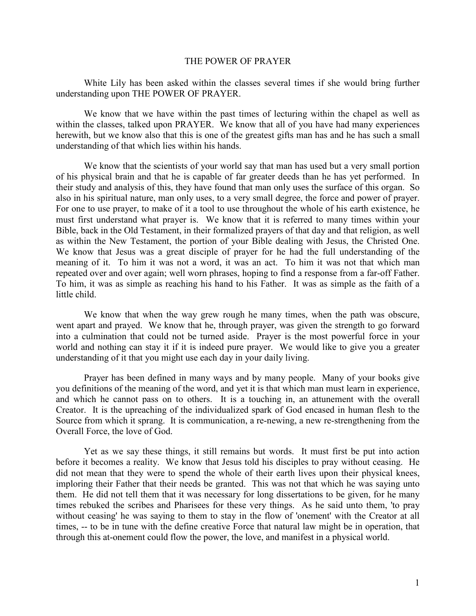## THE POWER OF PRAYER

White Lily has been asked within the classes several times if she would bring further understanding upon THE POWER OF PRAYER.

We know that we have within the past times of lecturing within the chapel as well as within the classes, talked upon PRAYER. We know that all of you have had many experiences herewith, but we know also that this is one of the greatest gifts man has and he has such a small understanding of that which lies within his hands.

We know that the scientists of your world say that man has used but a very small portion of his physical brain and that he is capable of far greater deeds than he has yet performed. In their study and analysis of this, they have found that man only uses the surface of this organ. So also in his spiritual nature, man only uses, to a very small degree, the force and power of prayer. For one to use prayer, to make of it a tool to use throughout the whole of his earth existence, he must first understand what prayer is. We know that it is referred to many times within your Bible, back in the Old Testament, in their formalized prayers of that day and that religion, as well as within the New Testament, the portion of your Bible dealing with Jesus, the Christed One. We know that Jesus was a great disciple of prayer for he had the full understanding of the meaning of it. To him it was not a word, it was an act. To him it was not that which man repeated over and over again; well worn phrases, hoping to find a response from a far-off Father. To him, it was as simple as reaching his hand to his Father. It was as simple as the faith of a little child.

We know that when the way grew rough he many times, when the path was obscure, went apart and prayed. We know that he, through prayer, was given the strength to go forward into a culmination that could not be turned aside. Prayer is the most powerful force in your world and nothing can stay it if it is indeed pure prayer. We would like to give you a greater understanding of it that you might use each day in your daily living.

Prayer has been defined in many ways and by many people. Many of your books give you definitions of the meaning of the word, and yet it is that which man must learn in experience, and which he cannot pass on to others. It is a touching in, an attunement with the overall Creator. It is the upreaching of the individualized spark of God encased in human flesh to the Source from which it sprang. It is communication, a re-newing, a new re-strengthening from the Overall Force, the love of God.

Yet as we say these things, it still remains but words. It must first be put into action before it becomes a reality. We know that Jesus told his disciples to pray without ceasing. He did not mean that they were to spend the whole of their earth lives upon their physical knees, imploring their Father that their needs be granted. This was not that which he was saying unto them. He did not tell them that it was necessary for long dissertations to be given, for he many times rebuked the scribes and Pharisees for these very things. As he said unto them, 'to pray without ceasing' he was saying to them to stay in the flow of 'onement' with the Creator at all times, -- to be in tune with the define creative Force that natural law might be in operation, that through this at-onement could flow the power, the love, and manifest in a physical world.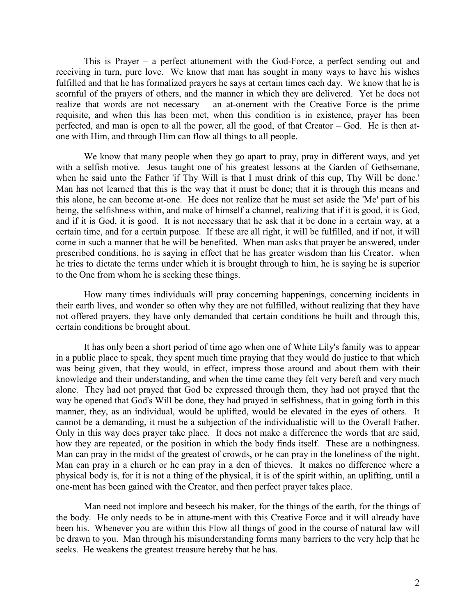This is Prayer – a perfect attunement with the God-Force, a perfect sending out and receiving in turn, pure love. We know that man has sought in many ways to have his wishes fulfilled and that he has formalized prayers he says at certain times each day. We know that he is scornful of the prayers of others, and the manner in which they are delivered. Yet he does not realize that words are not necessary – an at-onement with the Creative Force is the prime requisite, and when this has been met, when this condition is in existence, prayer has been perfected, and man is open to all the power, all the good, of that Creator – God. He is then atone with Him, and through Him can flow all things to all people.

We know that many people when they go apart to pray, pray in different ways, and yet with a selfish motive. Jesus taught one of his greatest lessons at the Garden of Gethsemane, when he said unto the Father 'if Thy Will is that I must drink of this cup, Thy Will be done.' Man has not learned that this is the way that it must be done; that it is through this means and this alone, he can become at-one. He does not realize that he must set aside the 'Me' part of his being, the selfishness within, and make of himself a channel, realizing that if it is good, it is God, and if it is God, it is good. It is not necessary that he ask that it be done in a certain way, at a certain time, and for a certain purpose. If these are all right, it will be fulfilled, and if not, it will come in such a manner that he will be benefited. When man asks that prayer be answered, under prescribed conditions, he is saying in effect that he has greater wisdom than his Creator. when he tries to dictate the terms under which it is brought through to him, he is saying he is superior to the One from whom he is seeking these things.

How many times individuals will pray concerning happenings, concerning incidents in their earth lives, and wonder so often why they are not fulfilled, without realizing that they have not offered prayers, they have only demanded that certain conditions be built and through this, certain conditions be brought about.

It has only been a short period of time ago when one of White Lily's family was to appear in a public place to speak, they spent much time praying that they would do justice to that which was being given, that they would, in effect, impress those around and about them with their knowledge and their understanding, and when the time came they felt very bereft and very much alone. They had not prayed that God be expressed through them, they had not prayed that the way be opened that God's Will be done, they had prayed in selfishness, that in going forth in this manner, they, as an individual, would be uplifted, would be elevated in the eyes of others. It cannot be a demanding, it must be a subjection of the individualistic will to the Overall Father. Only in this way does prayer take place. It does not make a difference the words that are said, how they are repeated, or the position in which the body finds itself. These are a nothingness. Man can pray in the midst of the greatest of crowds, or he can pray in the loneliness of the night. Man can pray in a church or he can pray in a den of thieves. It makes no difference where a physical body is, for it is not a thing of the physical, it is of the spirit within, an uplifting, until a one-ment has been gained with the Creator, and then perfect prayer takes place.

Man need not implore and beseech his maker, for the things of the earth, for the things of the body. He only needs to be in attune-ment with this Creative Force and it will already have been his. Whenever you are within this Flow all things of good in the course of natural law will be drawn to you. Man through his misunderstanding forms many barriers to the very help that he seeks. He weakens the greatest treasure hereby that he has.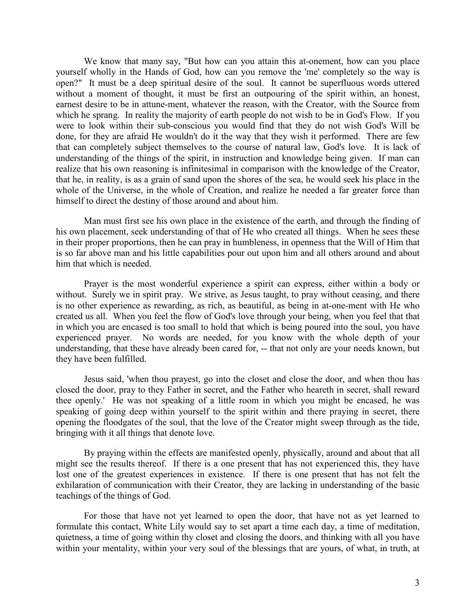We know that many say, "But how can you attain this at-onement, how can you place yourself wholly in the Hands of God, how can you remove the 'me' completely so the way is open?" It must be a deep spiritual desire of the soul. It cannot be superfluous words uttered without a moment of thought, it must be first an outpouring of the spirit within, an honest, earnest desire to be in attune-ment, whatever the reason, with the Creator, with the Source from which he sprang. In reality the majority of earth people do not wish to be in God's Flow. If you were to look within their sub-conscious you would find that they do not wish God's Will be done, for they are afraid He wouldn't do it the way that they wish it performed. There are few that can completely subject themselves to the course of natural law, God's love. It is lack of understanding of the things of the spirit, in instruction and knowledge being given. If man can realize that his own reasoning is infinitesimal in comparison with the knowledge of the Creator, that he, in reality, is as a grain of sand upon the shores of the sea, he would seek his place in the whole of the Universe, in the whole of Creation, and realize he needed a far greater force than himself to direct the destiny of those around and about him.

Man must first see his own place in the existence of the earth, and through the finding of his own placement, seek understanding of that of He who created all things. When he sees these in their proper proportions, then he can pray in humbleness, in openness that the Will of Him that is so far above man and his little capabilities pour out upon him and all others around and about him that which is needed.

Prayer is the most wonderful experience a spirit can express, either within a body or without. Surely we in spirit pray. We strive, as Jesus taught, to pray without ceasing, and there is no other experience as rewarding, as rich, as beautiful, as being in at-one-ment with He who created us all. When you feel the flow of God's love through your being, when you feel that that in which you are encased is too small to hold that which is being poured into the soul, you have experienced prayer. No words are needed, for you know with the whole depth of your understanding, that these have already been cared for, -- that not only are your needs known, but they have been fulfilled.

Jesus said, 'when thou prayest, go into the closet and close the door, and when thou has closed the door, pray to they Father in secret, and the Father who heareth in secret, shall reward thee openly.' He was not speaking of a little room in which you might be encased, he was speaking of going deep within yourself to the spirit within and there praying in secret, there opening the floodgates of the soul, that the love of the Creator might sweep through as the tide, bringing with it all things that denote love.

By praying within the effects are manifested openly, physically, around and about that all might see the results thereof. If there is a one present that has not experienced this, they have lost one of the greatest experiences in existence. If there is one present that has not felt the exhilaration of communication with their Creator, they are lacking in understanding of the basic teachings of the things of God.

For those that have not yet learned to open the door, that have not as yet learned to formulate this contact, White Lily would say to set apart a time each day, a time of meditation, quietness, a time of going within thy closet and closing the doors, and thinking with all you have within your mentality, within your very soul of the blessings that are yours, of what, in truth, at